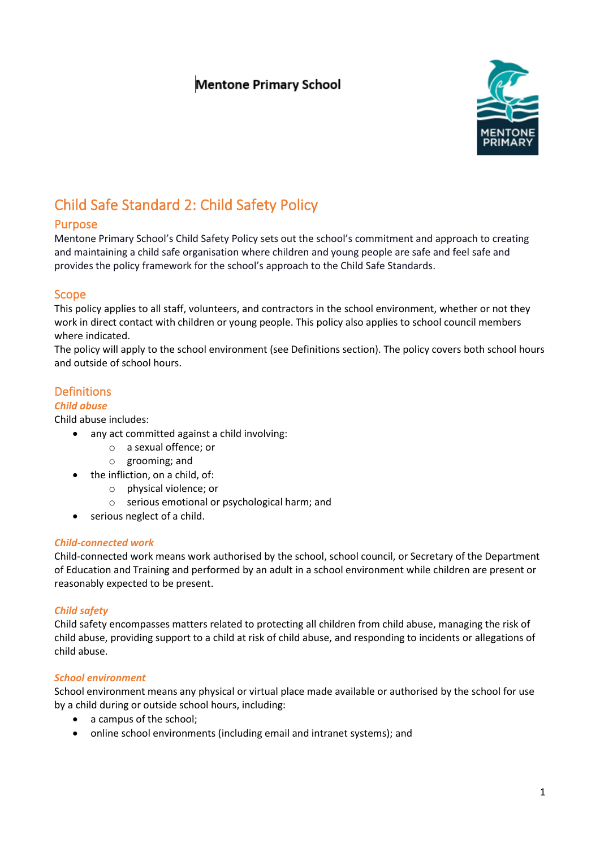# **Mentone Primary School**



# Child Safe Standard 2: Child Safety Policy

### Purpose

Mentone Primary School's Child Safety Policy sets out the school's commitment and approach to creating and maintaining a child safe organisation where children and young people are safe and feel safe and provides the policy framework for the school's approach to the Child Safe Standards.

### Scope

This policy applies to all staff, volunteers, and contractors in the school environment, whether or not they work in direct contact with children or young people. This policy also applies to school council members where indicated.

The policy will apply to the school environment (see Definitions section). The policy covers both school hours and outside of school hours.

### Definitions

### *Child abuse*

Child abuse includes:

- any act committed against a child involving:
	- o a sexual offence; or
	- o grooming; and
- the infliction, on a child, of:
	- o physical violence; or
	- o serious emotional or psychological harm; and
- serious neglect of a child.

#### *Child-connected work*

Child-connected work means work authorised by the school, school council, or Secretary of the Department of Education and Training and performed by an adult in a school environment while children are present or reasonably expected to be present.

### *Child safety*

Child safety encompasses matters related to protecting all children from child abuse, managing the risk of child abuse, providing support to a child at risk of child abuse, and responding to incidents or allegations of child abuse.

#### *School environment*

School environment means any physical or virtual place made available or authorised by the school for use by a child during or outside school hours, including:

- a campus of the school;
- online school environments (including email and intranet systems); and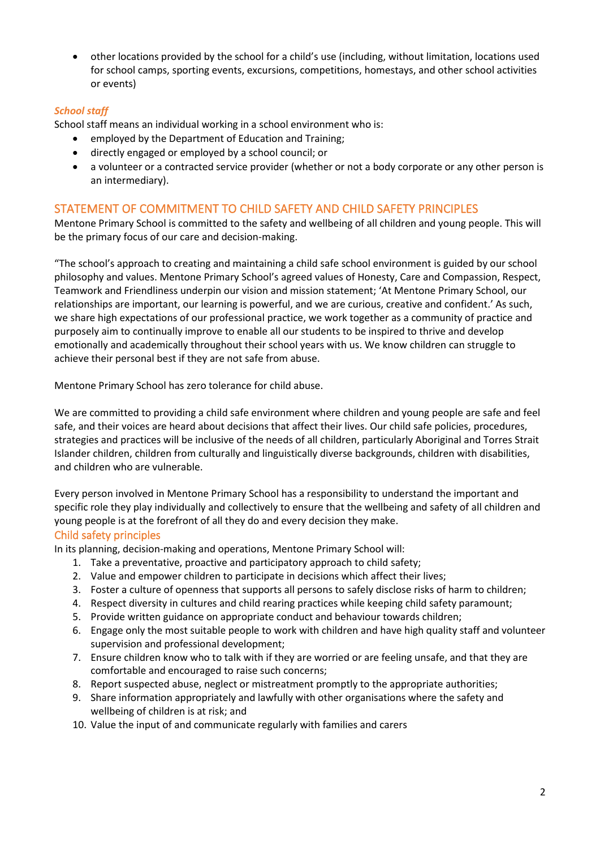• other locations provided by the school for a child's use (including, without limitation, locations used for school camps, sporting events, excursions, competitions, homestays, and other school activities or events)

### *School staff*

School staff means an individual working in a school environment who is:

- employed by the Department of Education and Training;
- directly engaged or employed by a school council; or
- a volunteer or a contracted service provider (whether or not a body corporate or any other person is an intermediary).

### STATEMENT OF COMMITMENT TO CHILD SAFETY AND CHILD SAFETY PRINCIPLES

Mentone Primary School is committed to the safety and wellbeing of all children and young people. This will be the primary focus of our care and decision-making.

"The school's approach to creating and maintaining a child safe school environment is guided by our school philosophy and values. Mentone Primary School's agreed values of Honesty, Care and Compassion, Respect, Teamwork and Friendliness underpin our vision and mission statement; 'At Mentone Primary School, our relationships are important, our learning is powerful, and we are curious, creative and confident.' As such, we share high expectations of our professional practice, we work together as a community of practice and purposely aim to continually improve to enable all our students to be inspired to thrive and develop emotionally and academically throughout their school years with us. We know children can struggle to achieve their personal best if they are not safe from abuse.

Mentone Primary School has zero tolerance for child abuse.

We are committed to providing a child safe environment where children and young people are safe and feel safe, and their voices are heard about decisions that affect their lives. Our child safe policies, procedures, strategies and practices will be inclusive of the needs of all children, particularly Aboriginal and Torres Strait Islander children, children from culturally and linguistically diverse backgrounds, children with disabilities, and children who are vulnerable.

Every person involved in Mentone Primary School has a responsibility to understand the important and specific role they play individually and collectively to ensure that the wellbeing and safety of all children and young people is at the forefront of all they do and every decision they make.

### Child safety principles

In its planning, decision-making and operations, Mentone Primary School will:

- 1. Take a preventative, proactive and participatory approach to child safety;
- 2. Value and empower children to participate in decisions which affect their lives;
- 3. Foster a culture of openness that supports all persons to safely disclose risks of harm to children;
- 4. Respect diversity in cultures and child rearing practices while keeping child safety paramount;
- 5. Provide written guidance on appropriate conduct and behaviour towards children;
- 6. Engage only the most suitable people to work with children and have high quality staff and volunteer supervision and professional development;
- 7. Ensure children know who to talk with if they are worried or are feeling unsafe, and that they are comfortable and encouraged to raise such concerns;
- 8. Report suspected abuse, neglect or mistreatment promptly to the appropriate authorities;
- 9. Share information appropriately and lawfully with other organisations where the safety and wellbeing of children is at risk; and
- 10. Value the input of and communicate regularly with families and carers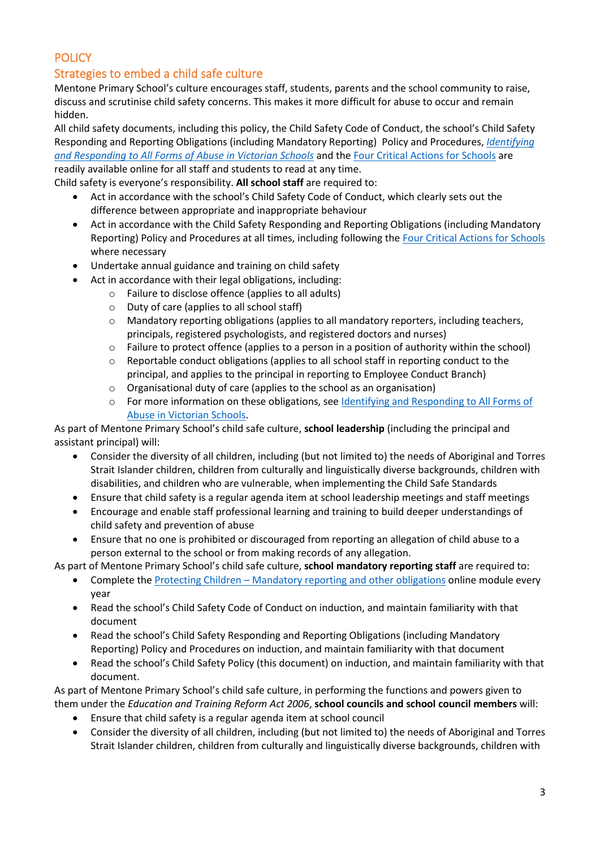## **POLICY**

### Strategies to embed a child safe culture

Mentone Primary School's culture encourages staff, students, parents and the school community to raise, discuss and scrutinise child safety concerns. This makes it more difficult for abuse to occur and remain hidden.

All child safety documents, including this policy, the Child Safety Code of Conduct, the school's Child Safety Responding and Reporting Obligations (including Mandatory Reporting) Policy and Procedures, *[Identifying](https://www.education.vic.gov.au/Documents/about/programs/health/protect/ChildSafeStandard5_SchoolsGuide.pdf)  [and Responding to All Forms of Abuse in Victorian Schools](https://www.education.vic.gov.au/Documents/about/programs/health/protect/ChildSafeStandard5_SchoolsGuide.pdf)* and th[e Four Critical Actions for Schools](https://www.education.vic.gov.au/Documents/about/programs/health/protect/FourCriticalActions_ChildAbuse.pdf) are readily available online for all staff and students to read at any time.

Child safety is everyone's responsibility. **All school staff** are required to:

- Act in accordance with the school's Child Safety Code of Conduct, which clearly sets out the difference between appropriate and inappropriate behaviour
- Act in accordance with the Child Safety Responding and Reporting Obligations (including Mandatory Reporting) Policy and Procedures at all times, including following th[e Four Critical Actions for Schools](https://www.education.vic.gov.au/Documents/about/programs/health/protect/FourCriticalActions_ChildAbuse.pdf) where necessary
- Undertake annual guidance and training on child safety
	- Act in accordance with their legal obligations, including:
		- o Failure to disclose offence (applies to all adults)
		- o Duty of care (applies to all school staff)
		- o Mandatory reporting obligations (applies to all mandatory reporters, including teachers, principals, registered psychologists, and registered doctors and nurses)
		- $\circ$  Failure to protect offence (applies to a person in a position of authority within the school)
		- $\circ$  Reportable conduct obligations (applies to all school staff in reporting conduct to the principal, and applies to the principal in reporting to Employee Conduct Branch)
		- o Organisational duty of care (applies to the school as an organisation)
		- o For more information on these obligations, see [Identifying and Responding to All Forms of](https://www.education.vic.gov.au/Documents/about/programs/health/protect/ChildSafeStandard5_SchoolsGuide.pdf)  [Abuse in Victorian Schools.](https://www.education.vic.gov.au/Documents/about/programs/health/protect/ChildSafeStandard5_SchoolsGuide.pdf)

As part of Mentone Primary School's child safe culture, **school leadership** (including the principal and assistant principal) will:

- Consider the diversity of all children, including (but not limited to) the needs of Aboriginal and Torres Strait Islander children, children from culturally and linguistically diverse backgrounds, children with disabilities, and children who are vulnerable, when implementing the Child Safe Standards
- Ensure that child safety is a regular agenda item at school leadership meetings and staff meetings
- Encourage and enable staff professional learning and training to build deeper understandings of child safety and prevention of abuse
- Ensure that no one is prohibited or discouraged from reporting an allegation of child abuse to a person external to the school or from making records of any allegation.

As part of Mentone Primary School's child safe culture, **school mandatory reporting staff** are required to:

- Complete the Protecting Children [Mandatory reporting and other obligations](http://elearn.com.au/det/protectingchildren/) online module every year
- Read the school's Child Safety Code of Conduct on induction, and maintain familiarity with that document
- Read the school's Child Safety Responding and Reporting Obligations (including Mandatory Reporting) Policy and Procedures on induction, and maintain familiarity with that document
- Read the school's Child Safety Policy (this document) on induction, and maintain familiarity with that document.

As part of Mentone Primary School's child safe culture, in performing the functions and powers given to them under the *Education and Training Reform Act 2006*, **school councils and school council members** will:

- Ensure that child safety is a regular agenda item at school council
- Consider the diversity of all children, including (but not limited to) the needs of Aboriginal and Torres Strait Islander children, children from culturally and linguistically diverse backgrounds, children with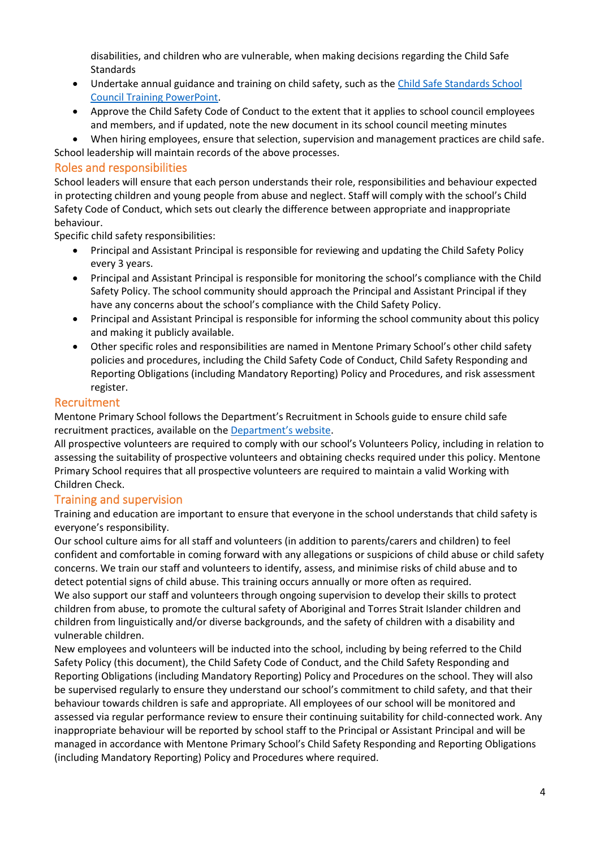disabilities, and children who are vulnerable, when making decisions regarding the Child Safe Standards

- Undertake annual guidance and training on child safety, such as th[e Child Safe Standards School](https://www.education.vic.gov.au/Documents/about/programs/health/protect/school-council-training.pptx)  [Council Training](https://www.education.vic.gov.au/Documents/about/programs/health/protect/school-council-training.pptx) PowerPoint.
- Approve the Child Safety Code of Conduct to the extent that it applies to school council employees and members, and if updated, note the new document in its school council meeting minutes
- When hiring employees, ensure that selection, supervision and management practices are child safe.
- School leadership will maintain records of the above processes.

### Roles and responsibilities

School leaders will ensure that each person understands their role, responsibilities and behaviour expected in protecting children and young people from abuse and neglect. Staff will comply with the school's Child Safety Code of Conduct, which sets out clearly the difference between appropriate and inappropriate behaviour.

Specific child safety responsibilities:

- Principal and Assistant Principal is responsible for reviewing and updating the Child Safety Policy every 3 years.
- Principal and Assistant Principal is responsible for monitoring the school's compliance with the Child Safety Policy. The school community should approach the Principal and Assistant Principal if they have any concerns about the school's compliance with the Child Safety Policy.
- Principal and Assistant Principal is responsible for informing the school community about this policy and making it publicly available.
- Other specific roles and responsibilities are named in Mentone Primary School's other child safety policies and procedures, including the Child Safety Code of Conduct, Child Safety Responding and Reporting Obligations (including Mandatory Reporting) Policy and Procedures, and risk assessment register.

### Recruitment

Mentone Primary School follows the Department's Recruitment in Schools guide to ensure child safe recruitment practices, available on the [Department'](https://www.education.vic.gov.au/hrweb/careers/Pages/recruitinsch.aspx)s website.

All prospective volunteers are required to comply with our school's Volunteers Policy, including in relation to assessing the suitability of prospective volunteers and obtaining checks required under this policy. Mentone Primary School requires that all prospective volunteers are required to maintain a valid Working with Children Check.

### Training and supervision

Training and education are important to ensure that everyone in the school understands that child safety is everyone's responsibility.

Our school culture aims for all staff and volunteers (in addition to parents/carers and children) to feel confident and comfortable in coming forward with any allegations or suspicions of child abuse or child safety concerns. We train our staff and volunteers to identify, assess, and minimise risks of child abuse and to detect potential signs of child abuse. This training occurs annually or more often as required. We also support our staff and volunteers through ongoing supervision to develop their skills to protect children from abuse, to promote the cultural safety of Aboriginal and Torres Strait Islander children and children from linguistically and/or diverse backgrounds, and the safety of children with a disability and vulnerable children.

New employees and volunteers will be inducted into the school, including by being referred to the Child Safety Policy (this document), the Child Safety Code of Conduct, and the Child Safety Responding and Reporting Obligations (including Mandatory Reporting) Policy and Procedures on the school. They will also be supervised regularly to ensure they understand our school's commitment to child safety, and that their behaviour towards children is safe and appropriate. All employees of our school will be monitored and assessed via regular performance review to ensure their continuing suitability for child-connected work. Any inappropriate behaviour will be reported by school staff to the Principal or Assistant Principal and will be managed in accordance with Mentone Primary School's Child Safety Responding and Reporting Obligations (including Mandatory Reporting) Policy and Procedures where required.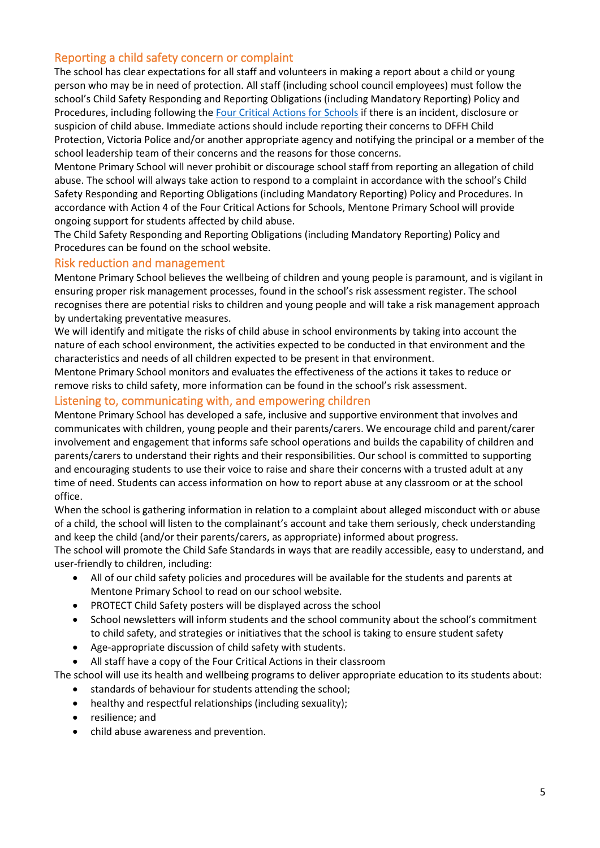### Reporting a child safety concern or complaint

The school has clear expectations for all staff and volunteers in making a report about a child or young person who may be in need of protection. All staff (including school council employees) must follow the school's Child Safety Responding and Reporting Obligations (including Mandatory Reporting) Policy and Procedures, including following the [Four Critical Actions for Schools](https://www.education.vic.gov.au/Documents/about/programs/health/protect/FourCriticalActions_ChildAbuse.pdf) if there is an incident, disclosure or suspicion of child abuse. Immediate actions should include reporting their concerns to DFFH Child Protection, Victoria Police and/or another appropriate agency and notifying the principal or a member of the school leadership team of their concerns and the reasons for those concerns.

Mentone Primary School will never prohibit or discourage school staff from reporting an allegation of child abuse. The school will always take action to respond to a complaint in accordance with the school's Child Safety Responding and Reporting Obligations (including Mandatory Reporting) Policy and Procedures. In accordance with Action 4 of the Four Critical Actions for Schools, Mentone Primary School will provide ongoing support for students affected by child abuse.

The Child Safety Responding and Reporting Obligations (including Mandatory Reporting) Policy and Procedures can be found on the school website.

### Risk reduction and management

Mentone Primary School believes the wellbeing of children and young people is paramount, and is vigilant in ensuring proper risk management processes, found in the school's risk assessment register. The school recognises there are potential risks to children and young people and will take a risk management approach by undertaking preventative measures.

We will identify and mitigate the risks of child abuse in school environments by taking into account the nature of each school environment, the activities expected to be conducted in that environment and the characteristics and needs of all children expected to be present in that environment.

Mentone Primary School monitors and evaluates the effectiveness of the actions it takes to reduce or remove risks to child safety, more information can be found in the school's risk assessment.

### Listening to, communicating with, and empowering children

Mentone Primary School has developed a safe, inclusive and supportive environment that involves and communicates with children, young people and their parents/carers. We encourage child and parent/carer involvement and engagement that informs safe school operations and builds the capability of children and parents/carers to understand their rights and their responsibilities. Our school is committed to supporting and encouraging students to use their voice to raise and share their concerns with a trusted adult at any time of need. Students can access information on how to report abuse at any classroom or at the school office.

When the school is gathering information in relation to a complaint about alleged misconduct with or abuse of a child, the school will listen to the complainant's account and take them seriously, check understanding and keep the child (and/or their parents/carers, as appropriate) informed about progress.

The school will promote the Child Safe Standards in ways that are readily accessible, easy to understand, and user-friendly to children, including:

- All of our child safety policies and procedures will be available for the students and parents at Mentone Primary School to read on our school website.
- PROTECT Child Safety posters will be displayed across the school
- School newsletters will inform students and the school community about the school's commitment to child safety, and strategies or initiatives that the school is taking to ensure student safety
- Age-appropriate discussion of child safety with students.
- All staff have a copy of the Four Critical Actions in their classroom

The school will use its health and wellbeing programs to deliver appropriate education to its students about:

- standards of behaviour for students attending the school;
- healthy and respectful relationships (including sexuality);
- resilience; and
- child abuse awareness and prevention.